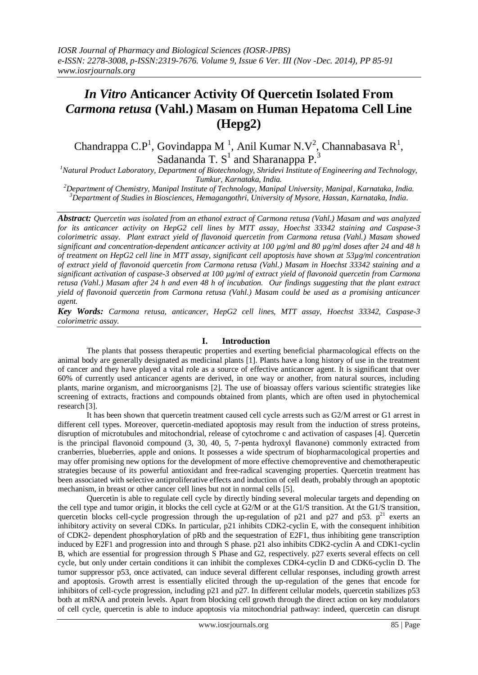# *In Vitro* **Anticancer Activity Of Quercetin Isolated From**  *Carmona retusa* **(Vahl.) Masam on Human Hepatoma Cell Line (Hepg2)**

Chandrappa C.P<sup>1</sup>, Govindappa M<sup>-1</sup>, Anil Kumar N.V<sup>2</sup>, Channabasava R<sup>1</sup>, Sadananda T.  $S<sup>1</sup>$  and Sharanappa P.<sup>3</sup>

*<sup>1</sup>Natural Product Laboratory, Department of Biotechnology, Shridevi Institute of Engineering and Technology, Tumkur, Karnataka, India.*

*<sup>2</sup>Department of Chemistry, Manipal Institute of Technology, Manipal University, Manipal, Karnataka, India. <sup>3</sup>Department of Studies in Biosciences, Hemagangothri, University of Mysore, Hassan, Karnataka, India*.

*Abstract: Quercetin was isolated from an ethanol extract of Carmona retusa (Vahl.) Masam and was analyzed for its anticancer activity on HepG2 cell lines by MTT assay, Hoechst 33342 staining and Caspase-3 colorimetric assay. Plant extract yield of flavonoid quercetin from Carmona retusa (Vahl.) Masam showed significant and concentration-dependent anticancer activity at 100 µg/ml and 80 µg/ml doses after 24 and 48 h of treatment on HepG2 cell line in MTT assay, significant cell apoptosis have shown at 53µg/ml concentration of extract yield of flavonoid quercetin from Carmona retusa (Vahl.) Masam in Hoechst 33342 staining and a significant activation of caspase-3 observed at 100 µg/ml of extract yield of flavonoid quercetin from Carmona retusa (Vahl.) Masam after 24 h and even 48 h of incubation. Our findings suggesting that the plant extract yield of flavonoid quercetin from Carmona retusa (Vahl.) Masam could be used as a promising anticancer agent.*

*Key Words: Carmona retusa, anticancer, HepG2 cell lines, MTT assay, Hoechst 33342, Caspase-3 colorimetric assay.*

# **I. Introduction**

The plants that possess therapeutic properties and exerting beneficial pharmacological effects on the animal body are generally designated as medicinal plants [1]. Plants have a long history of use in the treatment of cancer and they have played a vital role as a source of effective anticancer agent. It is significant that over 60% of currently used anticancer agents are derived, in one way or another, from natural sources, including plants, marine organism, and microorganisms [2]. The use of bioassay offers various scientific strategies like screening of extracts, fractions and compounds obtained from plants, which are often used in phytochemical research [3].

It has been shown that quercetin treatment caused cell cycle arrests such as G2/M arrest or G1 arrest in different cell types. Moreover, quercetin-mediated apoptosis may result from the induction of stress proteins, disruption of microtubules and mitochondrial, release of cytochrome c and activation of caspases [4]. Quercetin is the principal flavonoid compound (3, 30, 40, 5, 7-penta hydroxyl flavanone) commonly extracted from cranberries, blueberries, apple and onions. It possesses a wide spectrum of biopharmacological properties and may offer promising new options for the development of more effective chemopreventive and chemotherapeutic strategies because of its powerful antioxidant and free-radical scavenging properties. Quercetin treatment has been associated with selective antiproliferative effects and induction of cell death, probably through an apoptotic mechanism, in breast or other cancer cell lines but not in normal cells [5].

Quercetin is able to regulate cell cycle by directly binding several molecular targets and depending on the cell type and tumor origin, it blocks the cell cycle at G2/M or at the G1/S transition. At the G1/S transition, quercetin blocks cell-cycle progression through the up-regulation of p21 and p27 and p53.  $p^{21}$  exerts an inhibitory activity on several CDKs. In particular, p21 inhibits CDK2-cyclin E, with the consequent inhibition of CDK2- dependent phosphorylation of pRb and the sequestration of E2F1, thus inhibiting gene transcription induced by E2F1 and progression into and through S phase. p21 also inhibits CDK2-cyclin A and CDK1-cyclin B, which are essential for progression through S Phase and G2, respectively. p27 exerts several effects on cell cycle, but only under certain conditions it can inhibit the complexes CDK4-cyclin D and CDK6-cyclin D. The tumor suppressor p53, once activated, can induce several different cellular responses, including growth arrest and apoptosis. Growth arrest is essentially elicited through the up-regulation of the genes that encode for inhibitors of cell-cycle progression, including p21 and p27. In different cellular models, quercetin stabilizes p53 both at mRNA and protein levels. Apart from blocking cell growth through the direct action on key modulators of cell cycle, quercetin is able to induce apoptosis via mitochondrial pathway: indeed, quercetin can disrupt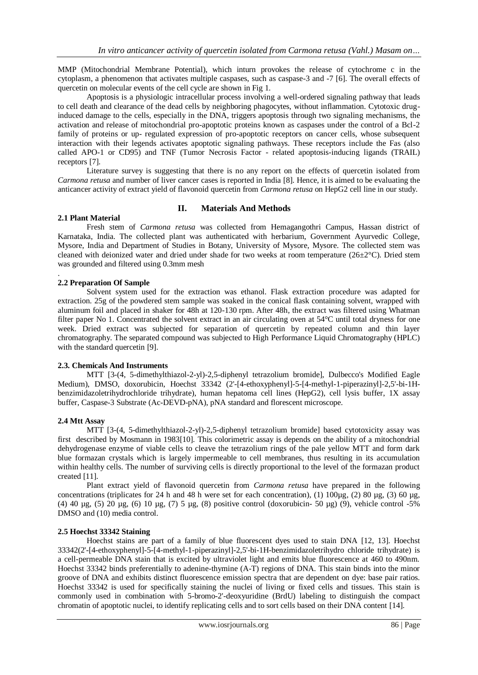MMP (Mitochondrial Membrane Potential), which inturn provokes the release of cytochrome c in the cytoplasm, a phenomenon that activates multiple caspases, such as caspase-3 and -7 [6]. The overall effects of quercetin on molecular events of the cell cycle are shown in Fig 1.

Apoptosis is a physiologic intracellular process involving a well-ordered signaling pathway that leads to cell death and clearance of the dead cells by neighboring phagocytes, without inflammation. Cytotoxic druginduced damage to the cells, especially in the DNA, triggers apoptosis through two signaling mechanisms, the activation and release of mitochondrial pro-apoptotic proteins known as caspases under the control of a Bcl-2 family of proteins or up- regulated expression of pro-apoptotic receptors on cancer cells, whose subsequent interaction with their legends activates apoptotic signaling pathways. These receptors include the Fas (also called APO-1 or CD95) and TNF (Tumor Necrosis Factor - related apoptosis-inducing ligands (TRAIL) receptors [7].

Literature survey is suggesting that there is no any report on the effects of quercetin isolated from *Carmona retusa* and number of liver cancer cases is reported in India [8]. Hence, it is aimed to be evaluating the anticancer activity of extract yield of flavonoid quercetin from *Carmona retusa* on HepG2 cell line in our study.

# **II. Materials And Methods**

#### **2.1 Plant Material**

.

Fresh stem of *Carmona retusa* was collected from Hemagangothri Campus, Hassan district of Karnataka, India. The collected plant was authenticated with herbarium, Government Ayurvedic College, Mysore, India and Department of Studies in Botany, University of Mysore, Mysore. The collected stem was cleaned with deionized water and dried under shade for two weeks at room temperature  $(26\pm2°C)$ . Dried stem was grounded and filtered using 0.3mm mesh

## **2.2 Preparation Of Sample**

Solvent system used for the extraction was ethanol. Flask extraction procedure was adapted for extraction. 25g of the powdered stem sample was soaked in the conical flask containing solvent, wrapped with aluminum foil and placed in shaker for 48h at 120-130 rpm. After 48h, the extract was filtered using Whatman filter paper No 1. Concentrated the solvent extract in an air circulating oven at 54°C until total dryness for one week. Dried extract was subjected for separation of quercetin by repeated column and thin layer chromatography. The separated compound was subjected to High Performance Liquid Chromatography (HPLC) with the standard quercetin [9].

#### **2.3. Chemicals And Instruments**

MTT [3-(4, 5-dimethylthiazol-2-yl)-2,5-diphenyl tetrazolium bromide], Dulbecco's Modified Eagle Medium), DMSO, doxorubicin, Hoechst 33342 (2'-[4-ethoxyphenyl]-5-[4-methyl-1-piperazinyl]-2,5'-bi-1Hbenzimidazoletrihydrochloride trihydrate), human hepatoma cell lines (HepG2), cell lysis buffer, 1X assay buffer, Caspase-3 Substrate (Ac-DEVD-pNA), pNA standard and florescent microscope.

#### **2.4 Mtt Assay**

MTT [3-(4, 5-dimethylthiazol-2-yl)-2,5-diphenyl tetrazolium bromide] based cytotoxicity assay was first described by Mosmann in 1983[10]. This colorimetric assay is depends on the ability of a mitochondrial dehydrogenase enzyme of viable cells to cleave the tetrazolium rings of the pale yellow MTT and form dark blue formazan crystals which is largely impermeable to cell membranes, thus resulting in its accumulation within healthy cells. The number of surviving cells is directly proportional to the level of the formazan product created [11].

Plant extract yield of flavonoid quercetin from *Carmona retusa* have prepared in the following concentrations (triplicates for 24 h and 48 h were set for each concentration), (1)  $100\mu$ g, (2) 80  $\mu$ g, (3) 60  $\mu$ g, (4) 40 µg, (5) 20 µg, (6) 10 µg, (7) 5 µg, (8) positive control (doxorubicin- 50 µg) (9), vehicle control -5% DMSO and (10) media control.

## **2.5 Hoechst 33342 Staining**

Hoechst stains are part of a family of blue fluorescent dyes used to stain DNA [12, 13]. Hoechst 33342(2'-[4-ethoxyphenyl]-5-[4-methyl-1-piperazinyl]-2,5'-bi-1H-benzimidazoletrihydro chloride trihydrate) is a cell-permeable DNA stain that is excited by ultraviolet light and emits blue fluorescence at 460 to 490nm. Hoechst 33342 binds preferentially to adenine-thymine (A-T) regions of DNA. This stain binds into the minor groove of DNA and exhibits distinct fluorescence emission spectra that are dependent on dye: base pair ratios. Hoechst 33342 is used for specifically staining the nuclei of living or fixed cells and tissues. This stain is commonly used in combination with 5-bromo-2'-deoxyuridine (BrdU) labeling to distinguish the compact chromatin of apoptotic nuclei, to identify replicating cells and to sort cells based on their DNA content [14].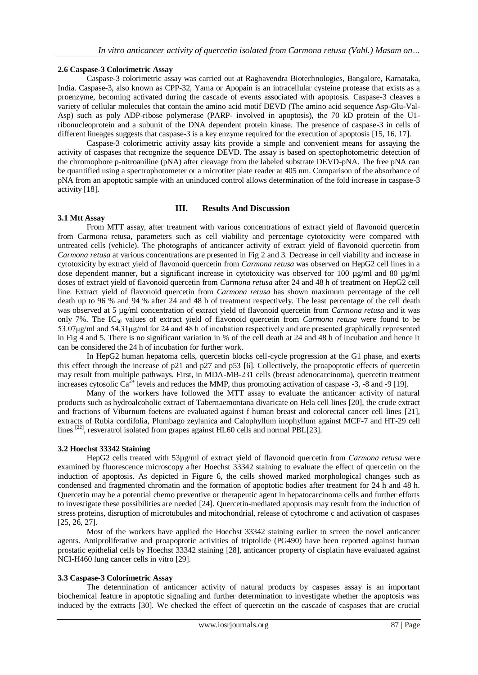#### **2.6 Caspase-3 Colorimetric Assay**

Caspase-3 colorimetric assay was carried out at Raghavendra Biotechnologies, Bangalore, Karnataka, India. Caspase-3, also known as CPP-32, Yama or Apopain is an intracellular cysteine protease that exists as a proenzyme, becoming activated during the cascade of events associated with apoptosis. Caspase-3 cleaves a variety of cellular molecules that contain the amino acid motif DEVD (The amino acid sequence Asp-Glu-Val-Asp) such as poly ADP-ribose polymerase (PARP- involved in apoptosis), the 70 kD protein of the U1 ribonucleoprotein and a subunit of the DNA dependent protein kinase. The presence of caspase-3 in cells of different lineages suggests that caspase-3 is a key enzyme required for the execution of apoptosis [15, 16, 17].

Caspase-3 colorimetric activity assay kits provide a simple and convenient means for assaying the activity of caspases that recognize the sequence DEVD. The assay is based on spectophotometric detection of the chromophore p-nitroaniline (pNA) after cleavage from the labeled substrate DEVD-pNA. The free pNA can be quantified using a spectrophotometer or a microtiter plate reader at 405 nm. Comparison of the absorbance of pNA from an apoptotic sample with an uninduced control allows determination of the fold increase in caspase-3 activity [18].

# **III. Results And Discussion**

## **3.1 Mtt Assay**

From MTT assay, after treatment with various concentrations of extract yield of flavonoid quercetin from Carmona retusa, parameters such as cell viability and percentage cytotoxicity were compared with untreated cells (vehicle). The photographs of anticancer activity of extract yield of flavonoid quercetin from *Carmona retusa* at various concentrations are presented in Fig 2 and 3. Decrease in cell viability and increase in cytotoxicity by extract yield of flavonoid quercetin from *Carmona retusa* was observed on HepG2 cell lines in a dose dependent manner, but a significant increase in cytotoxicity was observed for 100 µg/ml and 80 µg/ml doses of extract yield of flavonoid quercetin from *Carmona retusa* after 24 and 48 h of treatment on HepG2 cell line. Extract yield of flavonoid quercetin from *Carmona retusa* has shown maximum percentage of the cell death up to 96 % and 94 % after 24 and 48 h of treatment respectively. The least percentage of the cell death was observed at 5 µg/ml concentration of extract yield of flavonoid quercetin from *Carmona retusa* and it was only 7%. The IC<sup>50</sup> values of extract yield of flavonoid quercetin from *Carmona retusa* were found to be 53.07μg/ml and 54.31μg/ml for 24 and 48 h of incubation respectively and are presented graphically represented in Fig 4 and 5. There is no significant variation in % of the cell death at 24 and 48 h of incubation and hence it can be considered the 24 h of incubation for further work.

In HepG2 human hepatoma cells, quercetin blocks cell-cycle progression at the G1 phase, and exerts this effect through the increase of p21 and p27 and p53 [6]. Collectively, the proapoptotic effects of quercetin may result from multiple pathways. First, in MDA-MB-231 cells (breast adenocarcinoma), quercetin treatment increases cytosolic Ca<sup>2+</sup> levels and reduces the MMP, thus promoting activation of caspase  $-3$ ,  $-8$  and  $-9$  [19].

Many of the workers have followed the MTT assay to evaluate the anticancer activity of natural products such as hydroalcoholic extract of Tabernaemontana divaricate on Hela cell lines [20], the crude extract and fractions of Viburnum foetens are evaluated against f human breast and colorectal cancer cell lines [21], extracts of Rubia cordifolia, Plumbago zeylanica and Calophyllum inophyllum against MCF-7 and HT-29 cell lines <sup>[22]</sup>, resveratrol isolated from grapes against HL60 cells and normal PBL[23].

# **3.2 Hoechst 33342 Staining**

HepG2 cells treated with 53µg/ml of extract yield of flavonoid quercetin from *Carmona retusa* were examined by fluorescence microscopy after Hoechst 33342 staining to evaluate the effect of quercetin on the induction of apoptosis. As depicted in Figure 6, the cells showed marked morphological changes such as condensed and fragmented chromatin and the formation of apoptotic bodies after treatment for 24 h and 48 h. Quercetin may be a potential chemo preventive or therapeutic agent in hepatocarcinoma cells and further efforts to investigate these possibilities are needed [24]. Quercetin-mediated apoptosis may result from the induction of stress proteins, disruption of microtubules and mitochondrial, release of cytochrome c and activation of caspases [25, 26, 27].

Most of the workers have applied the Hoechst 33342 staining earlier to screen the novel anticancer agents. Antiproliferative and proapoptotic activities of triptolide (PG490) have been reported against human prostatic epithelial cells by Hoechst 33342 staining [28], anticancer property of cisplatin have evaluated against NCI-H460 lung cancer cells in vitro [29].

#### **3.3 Caspase-3 Colorimetric Assay**

The determination of anticancer activity of natural products by caspases assay is an important biochemical feature in apoptotic signaling and further determination to investigate whether the apoptosis was induced by the extracts [30]. We checked the effect of quercetin on the cascade of caspases that are crucial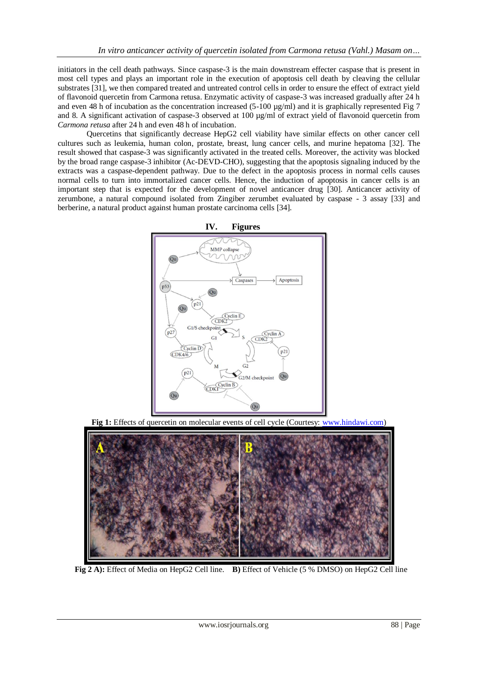initiators in the cell death pathways. Since caspase-3 is the main downstream effecter caspase that is present in most cell types and plays an important role in the execution of apoptosis cell death by cleaving the cellular substrates [31], we then compared treated and untreated control cells in order to ensure the effect of extract yield of flavonoid quercetin from Carmona retusa. Enzymatic activity of caspase-3 was increased gradually after 24 h and even 48 h of incubation as the concentration increased  $(5-100 \mu g/ml)$  and it is graphically represented Fig 7 and 8. A significant activation of caspase-3 observed at 100  $\mu$ g/ml of extract yield of flavonoid quercetin from *Carmona retusa* after 24 h and even 48 h of incubation.

Quercetins that significantly decrease HepG2 cell viability have similar effects on other cancer cell cultures such as leukemia, human colon, prostate, breast, lung cancer cells, and murine hepatoma [32]. The result showed that caspase-3 was significantly activated in the treated cells. Moreover, the activity was blocked by the broad range caspase-3 inhibitor (Ac-DEVD-CHO), suggesting that the apoptosis signaling induced by the extracts was a caspase-dependent pathway. Due to the defect in the apoptosis process in normal cells causes normal cells to turn into immortalized cancer cells. Hence, the induction of apoptosis in cancer cells is an important step that is expected for the development of novel anticancer drug [30]. Anticancer activity of zerumbone, a natural compound isolated from Zingiber zerumbet evaluated by caspase - 3 assay [33] and berberine, a natural product against human prostate carcinoma cells [34].



**Fig 1:** Effects of quercetin on molecular events of cell cycle (Courtesy: [www.hindawi.com\)](http://www.hindawi.com/)



 **Fig 2 A):** Effect of Media on HepG2 Cell line. **B)** Effect of Vehicle (5 % DMSO) on HepG2 Cell line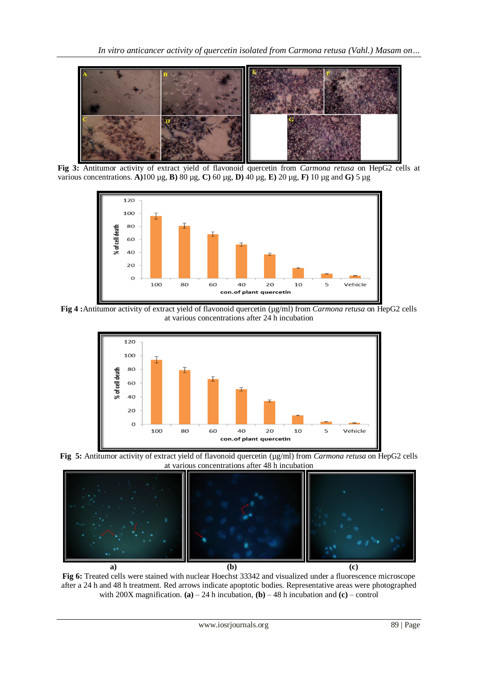

**Fig 3:** Antitumor activity of extract yield of flavonoid quercetin from *Carmona retusa* on HepG2 cells at various concentrations. **A)**100 µg, **B)** 80 µg, **C)** 60 µg, **D)** 40 µg, **E)** 20 µg, **F)** 10 µg and **G)** 5 µg



**Fig 4 :**Antitumor activity of extract yield of flavonoid quercetin (µg/ml) from *Carmona retusa* on HepG2 cells at various concentrations after 24 h incubation



**Fig 5:** Antitumor activity of extract yield of flavonoid quercetin (µg/ml) from *Carmona retusa* on HepG2 cells at various concentrations after 48 h incubation



**Fig 6:** Treated cells were stained with nuclear Hoechst 33342 and visualized under a fluorescence microscope after a 24 h and 48 h treatment. Red arrows indicate apoptotic bodies. Representative areas were photographed with 200X magnification. **(a)** – 24 h incubation, **(b)** – 48 h incubation and **(c)** – control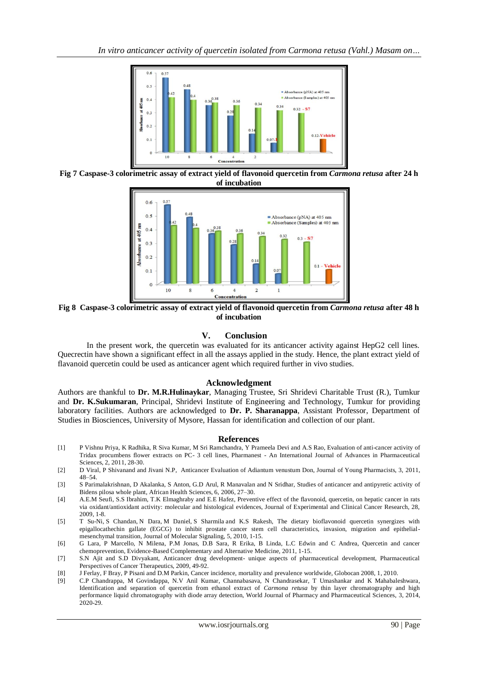

**Fig 7 Caspase-3 colorimetric assay of extract yield of flavonoid quercetin from** *Carmona retusa* **after 24 h of incubation**



**Fig 8 Caspase-3 colorimetric assay of extract yield of flavonoid quercetin from** *Carmona retusa* **after 48 h of incubation**

## **V. Conclusion**

In the present work, the quercetin was evaluated for its anticancer activity against HepG2 cell lines. Quecrectin have shown a significant effect in all the assays applied in the study. Hence, the plant extract yield of flavanoid quercetin could be used as anticancer agent which required further in vivo studies.

## **Acknowledgment**

Authors are thankful to **Dr. M.R.Hulinaykar**, Managing Trustee, Sri Shridevi Charitable Trust (R.), Tumkur and **Dr. K.Sukumaran**, Principal, Shridevi Institute of Engineering and Technology, Tumkur for providing laboratory facilities. Authors are acknowledged to **Dr. P. Sharanappa**, Assistant Professor, Department of Studies in Biosciences, University of Mysore, Hassan for identification and collection of our plant.

#### **References**

- [1] P Vishnu Priya, K Radhika, R Siva Kumar, M Sri Ramchandra, Y Prameela Devi and A.S Rao, Evaluation of anti-cancer activity of Tridax procumbens flower extracts on PC- 3 cell lines, Pharmanest - An International Journal of Advances in Pharmaceutical Sciences, 2, 2011, 28-30.
- [2] D Viral, P Shivanand and Jivani N.P, Anticancer Evaluation of Adiantum venustum Don, Journal of Young Pharmacists, 3, 2011, 48–54.
- [3] S Parimalakrishnan, D Akalanka, S Anton, G.D Arul, R Manavalan and N Sridhar, Studies of anticancer and antipyretic activity of Bidens pilosa whole plant, African Health Sciences, 6, 2006, 27–30.
- [4] A.E.M Seufi, S.S Ibrahim, T.K Elmaghraby and E.E Hafez, Preventive effect of the flavonoid, quercetin, on hepatic cancer in rats via oxidant/antioxidant activity: molecular and histological evidences, Journal of Experimental and Clinical Cancer Research, 28, 2009, 1-8.
- [5] T Su-Ni, S Chandan, N Dara, M Daniel, S Sharmila and K.S Rakesh, The dietary bioflavonoid quercetin synergizes with epigallocathechin gallate (EGCG) to inhibit prostate cancer stem cell characteristics, invasion, migration and epithelialmesenchymal transition, Journal of Molecular Signaling, 5, 2010, 1-15.
- [6] G Lara, P Marcello, N Milena, P.M Jonas, D.B Sara, R Erika, B Linda, L.C Edwin and C Andrea, Quercetin and cancer chemoprevention, Evidence-Based Complementary and Alternative Medicine, 2011, 1-15.
- [7] S.N Ajit and S.D Divyakant, Anticancer drug development- unique aspects of pharmaceutical development, Pharmaceutical Perspectives of Cancer Therapeutics, 2009, 49-92.
- [8] J Ferlay, F Bray, P Pisani and D.M Parkin, Cancer incidence, mortality and prevalence worldwide, Globocan 2008, 1, 2010.
- [9] C.P Chandrappa, M Govindappa, N.V Anil Kumar, Channabasava, N Chandrasekar, T Umashankar and K Mahabaleshwara, Identification and separation of quercetin from ethanol extract of *Carmona retusa* by thin layer chromatography and high performance liquid chromatography with diode array detection, World Journal of Pharmacy and Pharmaceutical Sciences, 3, 2014, 2020-29.